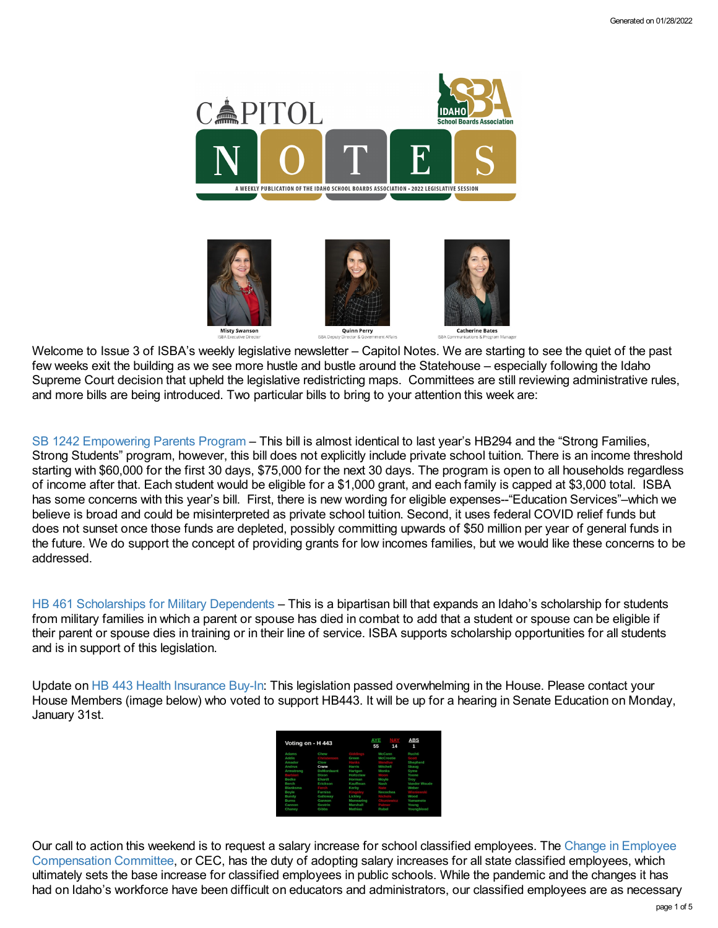

Welcome to Issue 3 of ISBA's weekly legislative newsletter – Capitol Notes. We are starting to see the quiet of the past few weeks exit the building as we see more hustle and bustle around the Statehouse – especially following the Idaho Supreme Court decision that upheld the legislative redistricting maps. Committees are still reviewing administrative rules, and more bills are being introduced. Two particular bills to bring to your attention this week are:

SB [1242](https://legislature.idaho.gov/sessioninfo/2022/legislation/S1242/) [Empowering](https://legislature.idaho.gov/sessioninfo/2022/legislation/S1242/) Parents Program – This bill is almost identical to last year's HB294 and the "Strong Families, Strong Students" program, however, this bill does not explicitly include private school tuition. There is an income threshold starting with \$60,000 for the first 30 days, \$75,000 for the next 30 days. The program is open to all households regardless of income after that. Each student would be eligible for a \$1,000 grant, and each family is capped at \$3,000 total. ISBA has some concerns with this year's bill. First, there is new wording for eligible expenses--"Education Services"-which we believe is broad and could be misinterpreted as private school tuition. Second, it uses federal COVID relief funds but does not sunset once those funds are depleted, possibly committing upwards of \$50 million per year of general funds in the future. We do support the concept of providing grants for low incomes families, but we would like these concerns to be addressed.

HB 461 [Scholarships](https://legislature.idaho.gov/wp-content/uploads/sessioninfo/2022/legislation/H0461SOP.pdf) for Military Dependents – This is a bipartisan bill that expands an Idaho's scholarship for students from military families in which a parent or spouse has died in combat to add that a student or spouse can be eligible if their parent or spouse dies in training or in their line of service. ISBA supports scholarship opportunities for all students and is in support of this legislation.

Update on HB 443 Health [Insurance](https://legislature.idaho.gov/sessioninfo/2022/legislation/H0443/) Buy-In: This legislation passed overwhelming in the House. Please contact your House Members (image below) who voted to support HB443. It will be up for a hearing in Senate Education on Monday, January 31st.

| Voting on - H 443 |                   |           | AYE<br>55        | 14 | <b>ABS</b><br>1     |
|-------------------|-------------------|-----------|------------------|----|---------------------|
| Adams             | Chew              |           | McCann           |    | Ruchti              |
| Addis             |                   | Green     | <b>McCrostie</b> |    |                     |
| Amador            | Clow              |           |                  |    | <b>Shepherd</b>     |
| Andrus            | Crane             | Harris    | Mitchell         |    | Skaug               |
| Armstrong         | <b>DeMordaunt</b> | Hartgen   | Monks            |    | Syme                |
|                   | Dixon             | Holtzclaw |                  |    | Toone               |
| Bedke             | Ehardt            | Horman    | Moyle            |    | Trov                |
| Rerch             | Erickson          | Kauffman  | Nash             |    | <b>Vander Woude</b> |
| <b>Blanksma</b>   |                   | Kerby     |                  |    | Weber               |
| Boyle             | <b>Furniss</b>    |           | Necochea         |    |                     |
| Bundy             | Galloway          | Lickley   |                  |    | Wood                |
| Burns             | Gannon            | Manwaring |                  |    | Yamamoto            |
| Cannon            | Gestrin           | Marshall  |                  |    | Young               |
| Chaney            | Gibbs             | Mathias   | Rubel            |    | Youngblood          |

Our call to action this weekend is to request a salary increase for school classified employees. The Change in Employee [Compensation](https://legislature.idaho.gov/sessioninfo/2022/joint/cec/) Committee, or CEC, has the duty of adopting salary increases for all state classified employees, which ultimately sets the base increase for classified employees in public schools. While the pandemic and the changes it has had on Idaho's workforce have been difficult on educators and administrators, our classified employees are as necessary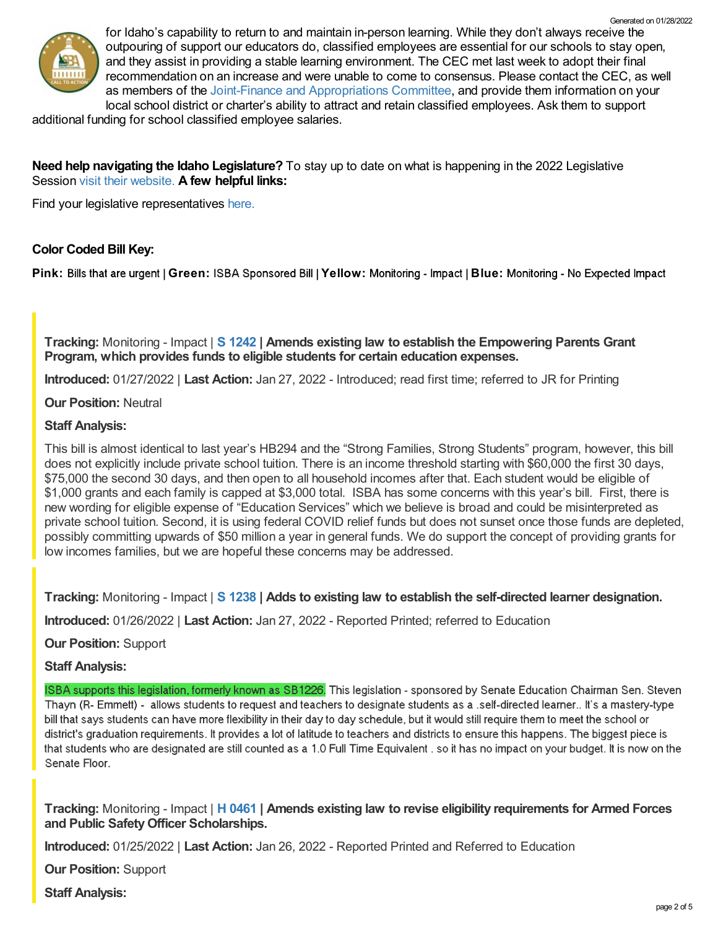

for Idaho's capability to return to and maintain in-person learning. While they don't always receive the outpouring of support our educators do, classified employees are essential for our schools to stay open, and they assist in providing a stable learning environment. The CEC met last week to adopt their final recommendation on an increase and were unable to come to consensus. Please contact the CEC, as well as members of the Joint-Finance and [Appropriations](https://legislature.idaho.gov/lso/bpa/jfac/) Committee, and provide them information on your local school district or charter's ability to attract and retain classified employees. Ask them to support Generated on 01/28/2022

additional funding for school classified employee salaries.

# **Need help navigating the Idaho Legislature?** To stay up to date on what is happening in the 2022 Legislative Session visit their [website.](https://legislature.idaho.gov/legislators/whosmylegislator/) **A few helpful links:**

Find your legislative representatives [here.](https://legislature.idaho.gov/legislators/whosmylegislator/)

# **Color Coded Bill Key:**

Pink: Bills that are urgent | Green: ISBA Sponsored Bill | Yellow: Monitoring - Impact | Blue: Monitoring - No Expected Impact

**Tracking:** Monitoring - Impact | **S [1242](https://legislature.idaho.gov/sessioninfo/2022/legislation/S1242/) | Amends existing law to establish the Empowering Parents Grant Program, which provides funds to eligible students for certain education expenses.**

**Introduced:** 01/27/2022 | **Last Action:** Jan 27, 2022 - Introduced; read first time; referred to JR for Printing

# **Our Position:** Neutral

# **Staff Analysis:**

This bill is almost identical to last year's HB294 and the "Strong Families, Strong Students" program, however, this bill does not explicitly include private school tuition. There is an income threshold starting with \$60,000 the first 30 days, \$75,000 the second 30 days, and then open to all household incomes after that. Each student would be eligible of \$1,000 grants and each family is capped at \$3,000 total. ISBA has some concerns with this year's bill. First, there is new wording for eligible expense of "Education Services" which we believe is broad and could be misinterpreted as private school tuition. Second, it is using federal COVID relief funds but does not sunset once those funds are depleted, possibly committing upwards of \$50 million a year in general funds. We do support the concept of providing grants for low incomes families, but we are hopeful these concerns may be addressed.

**Tracking:** Monitoring - Impact | **S [1238](https://legislature.idaho.gov/sessioninfo/2022/legislation/S1238/) | Adds to existing law to establish the self-directed learner designation.**

**Introduced:** 01/26/2022 | **Last Action:** Jan 27, 2022 - Reported Printed; referred to Education

**Our Position:** Support

### **Staff Analysis:**

ISBA supports this legislation, formerly known as SB1226. This legislation - sponsored by Senate Education Chairman Sen. Steven Thayn (R- Emmett) - allows students to request and teachers to designate students as a self-directed learner.. It's a mastery-type bill that says students can have more flexibility in their day to day schedule, but it would still require them to meet the school or district's graduation requirements. It provides a lot of latitude to teachers and districts to ensure this happens. The biggest piece is that students who are designated are still counted as a 1.0 Full Time Equivalent . so it has no impact on your budget. It is now on the Senate Floor.

**Tracking:** Monitoring - Impact | **H [0461](https://legislature.idaho.gov/sessioninfo/2022/legislation/H0461/) | Amends existing law to revise eligibility requirements for Armed Forces and Public SafetyOfficer Scholarships.**

**Introduced:** 01/25/2022 | **Last Action:** Jan 26, 2022 - Reported Printed and Referred to Education

**Our Position:** Support

**Staff Analysis:**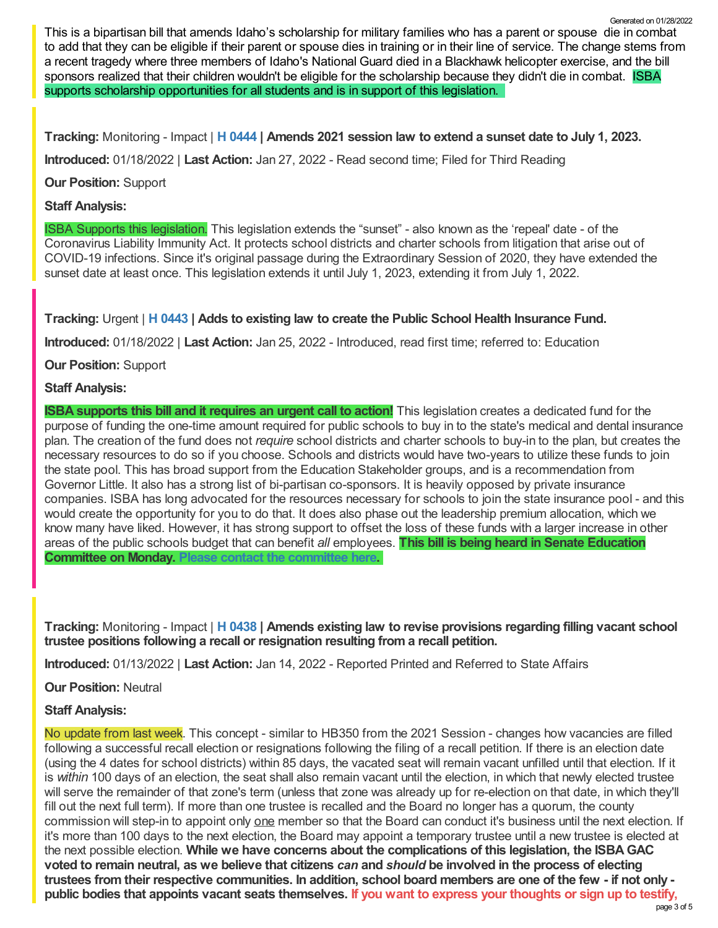This is a bipartisan bill that amends Idaho's scholarship for military families who has a parent or spouse die in combat to add that they can be eligible if their parent or spouse dies in training or in their line of service. The change stems from a recent tragedy where three members of Idaho's National Guard died in a Blackhawk helicopter exercise, and the bill sponsors realized that their children wouldn't be eligible for the scholarship because they didn't die in combat. ISBA supports scholarship opportunities for all students and is in support of this legislation. Generated on 01/28/2022

**Tracking:** Monitoring - Impact | **H [0444](https://legislature.idaho.gov/sessioninfo/2022/legislation/H0444/) | Amends 2021 session law to extend a sunset date to July 1, 2023.**

**Introduced:** 01/18/2022 | **Last Action:** Jan 27, 2022 - Read second time; Filed for Third Reading

**Our Position:** Support

# **Staff Analysis:**

ISBA Supports this legislation. This legislation extends the "sunset" - also known as the 'repeal' date - of the Coronavirus Liability Immunity Act. It protects school districts and charter schools from litigation that arise out of COVID-19 infections. Since it's original passage during the Extraordinary Session of 2020, they have extended the sunset date at least once. This legislation extends it until July 1, 2023, extending it from July 1, 2022.

**Tracking:** Urgent | **H [0443](https://legislature.idaho.gov/sessioninfo/2022/legislation/H0443/) | Adds to existing law to create the Public School Health Insurance Fund.**

**Introduced:** 01/18/2022 | **Last Action:** Jan 25, 2022 - Introduced, read first time; referred to: Education

**Our Position:** Support

# **Staff Analysis:**

**ISBA supports this bill and it requires an urgent call to action!** This legislation creates a dedicated fund for the purpose of funding the one-time amount required for public schools to buy in to the state's medical and dental insurance plan. The creation of the fund does not *require* school districts and charter schools to buy-in to the plan, but creates the necessary resources to do so if you choose. Schools and districts would have two-years to utilize these funds to join the state pool. This has broad support from the Education Stakeholder groups, and is a recommendation from Governor Little. It also has a strong list of bi-partisan co-sponsors. It is heavily opposed by private insurance companies. ISBA has long advocated for the resources necessary for schools to join the state insurance pool - and this would create the opportunity for you to do that. It does also phase out the leadership premium allocation, which we know many have liked. However, it has strong support to offset the loss of these funds with a larger increase in other areas of the public schools budget that can benefit *all* employees. **This bill is being heard in Senate Education Committee on Monday. Please contact the [committee](https://legislature.idaho.gov/sessioninfo/2022/standingcommittees/SEDU/) here.**

**Tracking:** Monitoring - Impact | **H [0438](https://legislature.idaho.gov/sessioninfo/2022/legislation/H0438/) | Amends existing law to revise provisions regarding filling vacant school trustee positions following a recall or resignation resulting from a recall petition.**

**Introduced:** 01/13/2022 | **Last Action:** Jan 14, 2022 - Reported Printed and Referred to State Affairs

**Our Position:** Neutral

# **Staff Analysis:**

No update from last week. This concept - similar to HB350 from the 2021 Session - changes how vacancies are filled following a successful recall election or resignations following the filing of a recall petition. If there is an election date (using the 4 dates for school districts) within 85 days, the vacated seat will remain vacant unfilled until that election. If it is *within* 100 days of an election, the seat shall also remain vacant until the election, in which that newly elected trustee will serve the remainder of that zone's term (unless that zone was already up for re-election on that date, in which they'll fill out the next full term). If more than one trustee is recalled and the Board no longer has a quorum, the county commission will step-in to appoint only one member so that the Board can conduct it's business until the next election. If it's more than 100 days to the next election, the Board may appoint a temporary trustee until a new trustee is elected at the next possible election. **While we have concerns about the complications of this legislation, the ISBAGAC** voted to remain neutral, as we believe that citizens can and should be involved in the process of electing trustees from their respective communities. In addition, school board members are one of the few - if not only public bodies that appoints vacant seats themselves. If you want to express your thoughts or sign up to testify,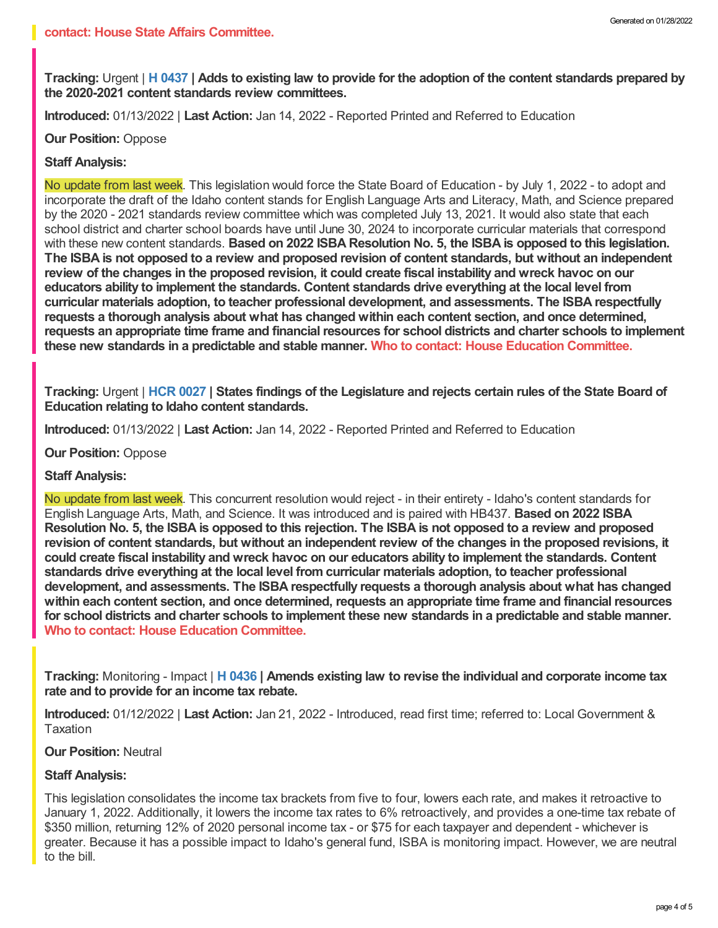Tracking: Urgent | H [0437](https://legislature.idaho.gov/sessioninfo/2022/legislation/H0437/) | Adds to existing law to provide for the adoption of the content standards prepared by **the 2020-2021 content standards review committees.**

**Introduced:** 01/13/2022 | **Last Action:** Jan 14, 2022 - Reported Printed and Referred to Education

**Our Position:** Oppose

### **Staff Analysis:**

No update from last week. This legislation would force the State Board of Education - by July 1, 2022 - to adopt and incorporate the draft of the Idaho content stands for English Language Arts and Literacy, Math, and Science prepared by the 2020 - 2021 standards review committee which was completed July 13, 2021. It would also state that each school district and charter school boards have until June 30, 2024 to incorporate curricular materials that correspond with these new content standards. **Based on 2022 ISBA Resolution No. 5, the ISBA is opposed to this legislation.** The ISBA is not opposed to a review and proposed revision of content standards, but without an independent review of the changes in the proposed revision, it could create fiscal instability and wreck havoc on our **educators ability to implement the standards. Content standards drive everything at the local level from curricular materials adoption, to teacher professional development, and assessments. The ISBA respectfully requests a thorough analysis about what has changed within each content section, and once determined, requests an appropriate time frame and financial resources for school districts and charter schools to implement these new standards in a predictable and stable manner. Who to contact: House Education [Committee.](https://legislature.idaho.gov/sessioninfo/2022/standingcommittees/HEDU/)**

Tracking: Urgent | HCR [0027](https://legislature.idaho.gov/sessioninfo/2022/legislation/HCR027/) | States findings of the Legislature and rejects certain rules of the State Board of **Education relating to Idaho content standards.**

**Introduced:** 01/13/2022 | **Last Action:** Jan 14, 2022 - Reported Printed and Referred to Education

**Our Position:** Oppose

#### **Staff Analysis:**

No update from last week. This concurrent resolution would reject - in their entirety - Idaho's content standards for English Language Arts, Math, and Science. It was introduced and is paired with HB437. **Based on 2022 ISBA** Resolution No. 5, the ISBA is opposed to this rejection. The ISBA is not opposed to a review and proposed revision of content standards, but without an independent review of the changes in the proposed revisions, it **could create fiscal instability and wreck havoc on our educators ability to implement the standards. Content standards drive everything at the local level from curricular materials adoption, to teacher professional development, and assessments. The ISBA respectfully requests a thorough analysis about what has changed within each content section, and once determined, requests an appropriate time frame and financial resources** for school districts and charter schools to implement these new standards in a predictable and stable manner. **Who to contact: House Education [Committee](https://legislature.idaho.gov/sessioninfo/2022/standingcommittees/HEDU/).**

**Tracking:** Monitoring - Impact | **H [0436](https://legislature.idaho.gov/sessioninfo/2022/legislation/H0436/) | Amends existing law to revise the individual and corporate income tax rate and to provide for an income tax rebate.**

**Introduced:** 01/12/2022 | **Last Action:** Jan 21, 2022 - Introduced, read first time; referred to: Local Government & Taxation

#### **Our Position:** Neutral

#### **Staff Analysis:**

This legislation consolidates the income tax brackets from five to four, lowers each rate, and makes it retroactive to January 1, 2022. Additionally, it lowers the income tax rates to 6% retroactively, and provides a one-time tax rebate of \$350 million, returning 12% of 2020 personal income tax - or \$75 for each taxpayer and dependent - whichever is greater. Because it has a possible impact to Idaho's general fund, ISBA is monitoring impact. However, we are neutral to the bill.